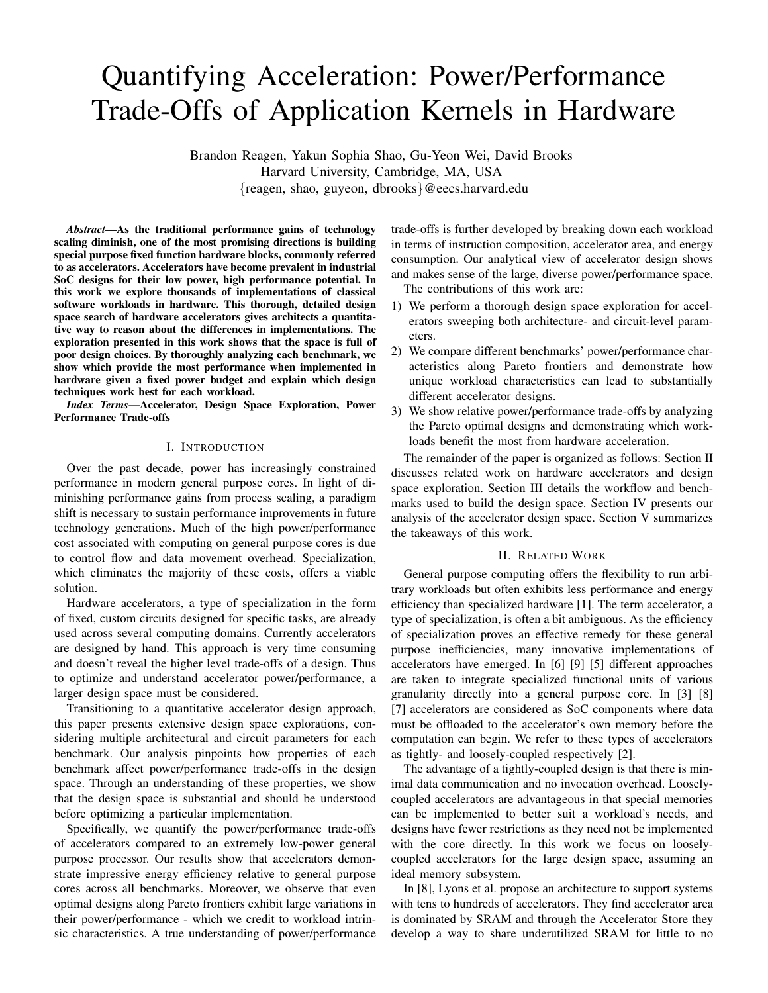# Quantifying Acceleration: Power/Performance Trade-Offs of Application Kernels in Hardware

Brandon Reagen, Yakun Sophia Shao, Gu-Yeon Wei, David Brooks Harvard University, Cambridge, MA, USA {reagen, shao, guyeon, dbrooks}@eecs.harvard.edu

*Abstract*—As the traditional performance gains of technology scaling diminish, one of the most promising directions is building special purpose fixed function hardware blocks, commonly referred to as accelerators. Accelerators have become prevalent in industrial SoC designs for their low power, high performance potential. In this work we explore thousands of implementations of classical software workloads in hardware. This thorough, detailed design space search of hardware accelerators gives architects a quantitative way to reason about the differences in implementations. The exploration presented in this work shows that the space is full of poor design choices. By thoroughly analyzing each benchmark, we show which provide the most performance when implemented in hardware given a fixed power budget and explain which design techniques work best for each workload.

*Index Terms*—Accelerator, Design Space Exploration, Power Performance Trade-offs

### I. INTRODUCTION

Over the past decade, power has increasingly constrained performance in modern general purpose cores. In light of diminishing performance gains from process scaling, a paradigm shift is necessary to sustain performance improvements in future technology generations. Much of the high power/performance cost associated with computing on general purpose cores is due to control flow and data movement overhead. Specialization, which eliminates the majority of these costs, offers a viable solution.

Hardware accelerators, a type of specialization in the form of fixed, custom circuits designed for specific tasks, are already used across several computing domains. Currently accelerators are designed by hand. This approach is very time consuming and doesn't reveal the higher level trade-offs of a design. Thus to optimize and understand accelerator power/performance, a larger design space must be considered.

Transitioning to a quantitative accelerator design approach, this paper presents extensive design space explorations, considering multiple architectural and circuit parameters for each benchmark. Our analysis pinpoints how properties of each benchmark affect power/performance trade-offs in the design space. Through an understanding of these properties, we show that the design space is substantial and should be understood before optimizing a particular implementation.

Specifically, we quantify the power/performance trade-offs of accelerators compared to an extremely low-power general purpose processor. Our results show that accelerators demonstrate impressive energy efficiency relative to general purpose cores across all benchmarks. Moreover, we observe that even optimal designs along Pareto frontiers exhibit large variations in their power/performance - which we credit to workload intrinsic characteristics. A true understanding of power/performance trade-offs is further developed by breaking down each workload in terms of instruction composition, accelerator area, and energy consumption. Our analytical view of accelerator design shows and makes sense of the large, diverse power/performance space.

The contributions of this work are:

- 1) We perform a thorough design space exploration for accelerators sweeping both architecture- and circuit-level parameters.
- 2) We compare different benchmarks' power/performance characteristics along Pareto frontiers and demonstrate how unique workload characteristics can lead to substantially different accelerator designs.
- 3) We show relative power/performance trade-offs by analyzing the Pareto optimal designs and demonstrating which workloads benefit the most from hardware acceleration.

The remainder of the paper is organized as follows: Section II discusses related work on hardware accelerators and design space exploration. Section III details the workflow and benchmarks used to build the design space. Section IV presents our analysis of the accelerator design space. Section V summarizes the takeaways of this work.

#### II. RELATED WORK

General purpose computing offers the flexibility to run arbitrary workloads but often exhibits less performance and energy efficiency than specialized hardware [1]. The term accelerator, a type of specialization, is often a bit ambiguous. As the efficiency of specialization proves an effective remedy for these general purpose inefficiencies, many innovative implementations of accelerators have emerged. In [6] [9] [5] different approaches are taken to integrate specialized functional units of various granularity directly into a general purpose core. In [3] [8] [7] accelerators are considered as SoC components where data must be offloaded to the accelerator's own memory before the computation can begin. We refer to these types of accelerators as tightly- and loosely-coupled respectively [2].

The advantage of a tightly-coupled design is that there is minimal data communication and no invocation overhead. Looselycoupled accelerators are advantageous in that special memories can be implemented to better suit a workload's needs, and designs have fewer restrictions as they need not be implemented with the core directly. In this work we focus on looselycoupled accelerators for the large design space, assuming an ideal memory subsystem.

In [8], Lyons et al. propose an architecture to support systems with tens to hundreds of accelerators. They find accelerator area is dominated by SRAM and through the Accelerator Store they develop a way to share underutilized SRAM for little to no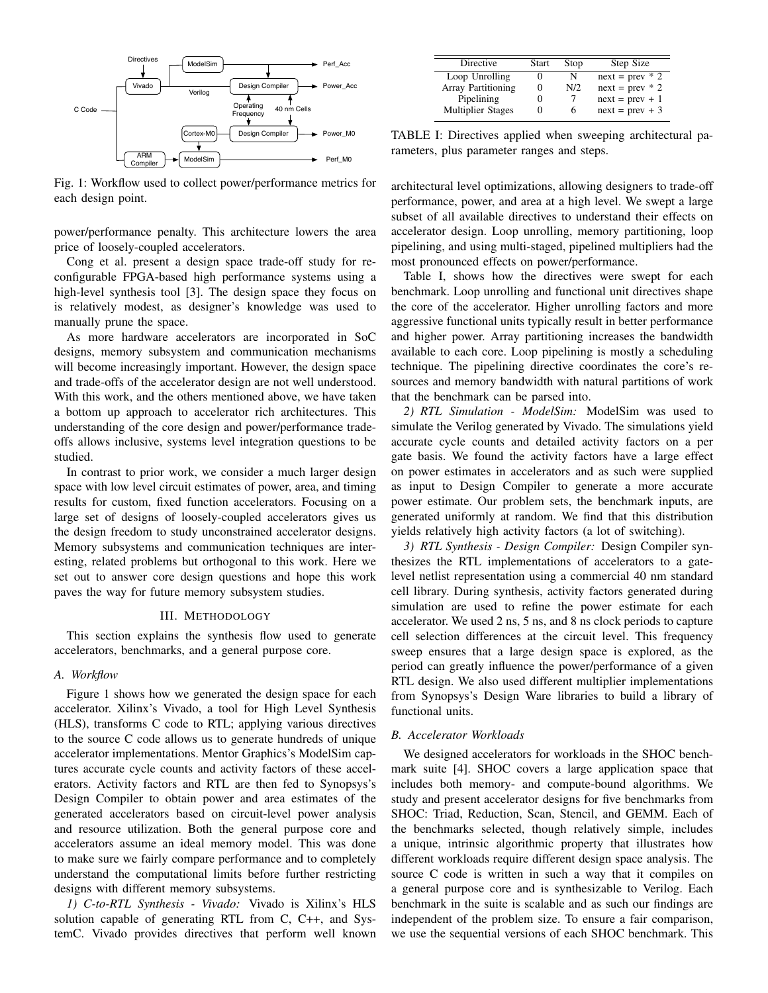

Fig. 1: Workflow used to collect power/performance metrics for each design point.

power/performance penalty. This architecture lowers the area price of loosely-coupled accelerators.

Cong et al. present a design space trade-off study for reconfigurable FPGA-based high performance systems using a high-level synthesis tool [3]. The design space they focus on is relatively modest, as designer's knowledge was used to manually prune the space.

As more hardware accelerators are incorporated in SoC designs, memory subsystem and communication mechanisms will become increasingly important. However, the design space and trade-offs of the accelerator design are not well understood. With this work, and the others mentioned above, we have taken a bottom up approach to accelerator rich architectures. This understanding of the core design and power/performance tradeoffs allows inclusive, systems level integration questions to be studied.

In contrast to prior work, we consider a much larger design space with low level circuit estimates of power, area, and timing results for custom, fixed function accelerators. Focusing on a large set of designs of loosely-coupled accelerators gives us the design freedom to study unconstrained accelerator designs. Memory subsystems and communication techniques are interesting, related problems but orthogonal to this work. Here we set out to answer core design questions and hope this work paves the way for future memory subsystem studies.

#### III. METHODOLOGY

This section explains the synthesis flow used to generate accelerators, benchmarks, and a general purpose core.

#### *A. Workflow*

Figure 1 shows how we generated the design space for each accelerator. Xilinx's Vivado, a tool for High Level Synthesis (HLS), transforms C code to RTL; applying various directives to the source C code allows us to generate hundreds of unique accelerator implementations. Mentor Graphics's ModelSim captures accurate cycle counts and activity factors of these accelerators. Activity factors and RTL are then fed to Synopsys's Design Compiler to obtain power and area estimates of the generated accelerators based on circuit-level power analysis and resource utilization. Both the general purpose core and accelerators assume an ideal memory model. This was done to make sure we fairly compare performance and to completely understand the computational limits before further restricting designs with different memory subsystems.

*1) C-to-RTL Synthesis - Vivado:* Vivado is Xilinx's HLS solution capable of generating RTL from C, C++, and SystemC. Vivado provides directives that perform well known

| Directive                 | <b>Start</b> | Stop | Step Size         |
|---------------------------|--------------|------|-------------------|
| Loop Unrolling            |              | N    | $next = prev * 2$ |
| <b>Array Partitioning</b> |              | N/2  | $next = prev * 2$ |
| Pipelining                |              |      | $next = prev + 1$ |
| <b>Multiplier Stages</b>  |              | 6    | $next = prev + 3$ |

TABLE I: Directives applied when sweeping architectural parameters, plus parameter ranges and steps.

architectural level optimizations, allowing designers to trade-off performance, power, and area at a high level. We swept a large subset of all available directives to understand their effects on accelerator design. Loop unrolling, memory partitioning, loop pipelining, and using multi-staged, pipelined multipliers had the most pronounced effects on power/performance.

Table I, shows how the directives were swept for each benchmark. Loop unrolling and functional unit directives shape the core of the accelerator. Higher unrolling factors and more aggressive functional units typically result in better performance and higher power. Array partitioning increases the bandwidth available to each core. Loop pipelining is mostly a scheduling technique. The pipelining directive coordinates the core's resources and memory bandwidth with natural partitions of work that the benchmark can be parsed into.

*2) RTL Simulation - ModelSim:* ModelSim was used to simulate the Verilog generated by Vivado. The simulations yield accurate cycle counts and detailed activity factors on a per gate basis. We found the activity factors have a large effect on power estimates in accelerators and as such were supplied as input to Design Compiler to generate a more accurate power estimate. Our problem sets, the benchmark inputs, are generated uniformly at random. We find that this distribution yields relatively high activity factors (a lot of switching).

*3) RTL Synthesis - Design Compiler:* Design Compiler synthesizes the RTL implementations of accelerators to a gatelevel netlist representation using a commercial 40 nm standard cell library. During synthesis, activity factors generated during simulation are used to refine the power estimate for each accelerator. We used 2 ns, 5 ns, and 8 ns clock periods to capture cell selection differences at the circuit level. This frequency sweep ensures that a large design space is explored, as the period can greatly influence the power/performance of a given RTL design. We also used different multiplier implementations from Synopsys's Design Ware libraries to build a library of functional units.

#### *B. Accelerator Workloads*

We designed accelerators for workloads in the SHOC benchmark suite [4]. SHOC covers a large application space that includes both memory- and compute-bound algorithms. We study and present accelerator designs for five benchmarks from SHOC: Triad, Reduction, Scan, Stencil, and GEMM. Each of the benchmarks selected, though relatively simple, includes a unique, intrinsic algorithmic property that illustrates how different workloads require different design space analysis. The source C code is written in such a way that it compiles on a general purpose core and is synthesizable to Verilog. Each benchmark in the suite is scalable and as such our findings are independent of the problem size. To ensure a fair comparison, we use the sequential versions of each SHOC benchmark. This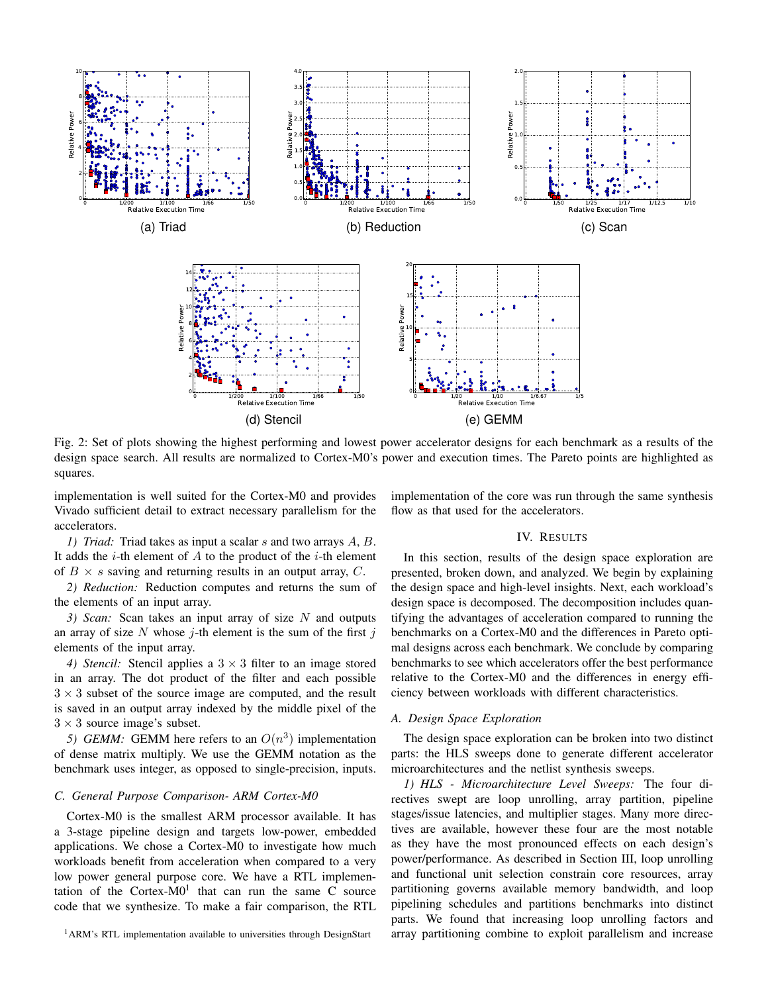

Fig. 2: Set of plots showing the highest performing and lowest power accelerator designs for each benchmark as a results of the design space search. All results are normalized to Cortex-M0's power and execution times. The Pareto points are highlighted as squares.

implementation is well suited for the Cortex-M0 and provides Vivado sufficient detail to extract necessary parallelism for the accelerators.

implementation of the core was run through the same synthesis flow as that used for the accelerators.

# IV. RESULTS

*1) Triad:* Triad takes as input a scalar s and two arrays A, B. It adds the  $i$ -th element of  $A$  to the product of the  $i$ -th element of  $B \times s$  saving and returning results in an output array, C.

*2) Reduction:* Reduction computes and returns the sum of the elements of an input array.

*3) Scan:* Scan takes an input array of size N and outputs an array of size  $N$  whose  $j$ -th element is the sum of the first  $j$ elements of the input array.

*4) Stencil:* Stencil applies a  $3 \times 3$  filter to an image stored in an array. The dot product of the filter and each possible  $3 \times 3$  subset of the source image are computed, and the result is saved in an output array indexed by the middle pixel of the  $3 \times 3$  source image's subset.

5) *GEMM*: GEMM here refers to an  $O(n^3)$  implementation of dense matrix multiply. We use the GEMM notation as the benchmark uses integer, as opposed to single-precision, inputs.

#### *C. General Purpose Comparison- ARM Cortex-M0*

Cortex-M0 is the smallest ARM processor available. It has a 3-stage pipeline design and targets low-power, embedded applications. We chose a Cortex-M0 to investigate how much workloads benefit from acceleration when compared to a very low power general purpose core. We have a RTL implementation of the Cortex- $MO<sup>1</sup>$  that can run the same C source code that we synthesize. To make a fair comparison, the RTL

<sup>1</sup>ARM's RTL implementation available to universities through DesignStart

In this section, results of the design space exploration are presented, broken down, and analyzed. We begin by explaining the design space and high-level insights. Next, each workload's design space is decomposed. The decomposition includes quantifying the advantages of acceleration compared to running the benchmarks on a Cortex-M0 and the differences in Pareto optimal designs across each benchmark. We conclude by comparing benchmarks to see which accelerators offer the best performance relative to the Cortex-M0 and the differences in energy efficiency between workloads with different characteristics.

# *A. Design Space Exploration*

The design space exploration can be broken into two distinct parts: the HLS sweeps done to generate different accelerator microarchitectures and the netlist synthesis sweeps.

*1) HLS - Microarchitecture Level Sweeps:* The four directives swept are loop unrolling, array partition, pipeline stages/issue latencies, and multiplier stages. Many more directives are available, however these four are the most notable as they have the most pronounced effects on each design's power/performance. As described in Section III, loop unrolling and functional unit selection constrain core resources, array partitioning governs available memory bandwidth, and loop pipelining schedules and partitions benchmarks into distinct parts. We found that increasing loop unrolling factors and array partitioning combine to exploit parallelism and increase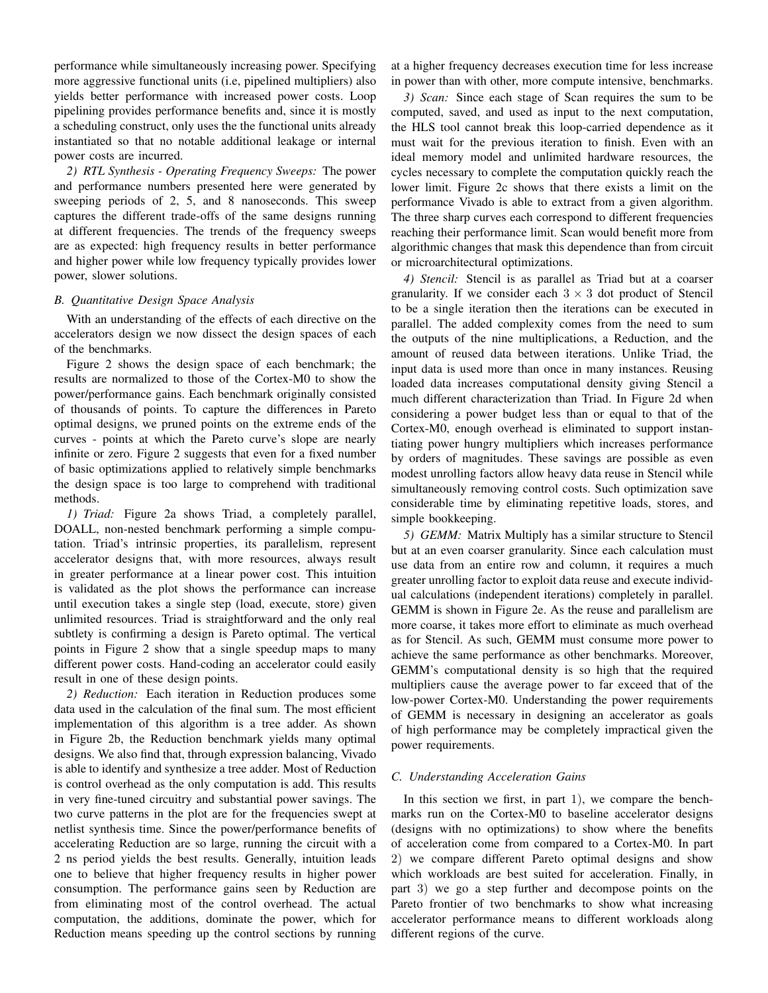performance while simultaneously increasing power. Specifying more aggressive functional units (i.e, pipelined multipliers) also yields better performance with increased power costs. Loop pipelining provides performance benefits and, since it is mostly a scheduling construct, only uses the the functional units already instantiated so that no notable additional leakage or internal power costs are incurred.

*2) RTL Synthesis - Operating Frequency Sweeps:* The power and performance numbers presented here were generated by sweeping periods of 2, 5, and 8 nanoseconds. This sweep captures the different trade-offs of the same designs running at different frequencies. The trends of the frequency sweeps are as expected: high frequency results in better performance and higher power while low frequency typically provides lower power, slower solutions.

#### *B. Quantitative Design Space Analysis*

With an understanding of the effects of each directive on the accelerators design we now dissect the design spaces of each of the benchmarks.

Figure 2 shows the design space of each benchmark; the results are normalized to those of the Cortex-M0 to show the power/performance gains. Each benchmark originally consisted of thousands of points. To capture the differences in Pareto optimal designs, we pruned points on the extreme ends of the curves - points at which the Pareto curve's slope are nearly infinite or zero. Figure 2 suggests that even for a fixed number of basic optimizations applied to relatively simple benchmarks the design space is too large to comprehend with traditional methods.

*1) Triad:* Figure 2a shows Triad, a completely parallel, DOALL, non-nested benchmark performing a simple computation. Triad's intrinsic properties, its parallelism, represent accelerator designs that, with more resources, always result in greater performance at a linear power cost. This intuition is validated as the plot shows the performance can increase until execution takes a single step (load, execute, store) given unlimited resources. Triad is straightforward and the only real subtlety is confirming a design is Pareto optimal. The vertical points in Figure 2 show that a single speedup maps to many different power costs. Hand-coding an accelerator could easily result in one of these design points.

*2) Reduction:* Each iteration in Reduction produces some data used in the calculation of the final sum. The most efficient implementation of this algorithm is a tree adder. As shown in Figure 2b, the Reduction benchmark yields many optimal designs. We also find that, through expression balancing, Vivado is able to identify and synthesize a tree adder. Most of Reduction is control overhead as the only computation is add. This results in very fine-tuned circuitry and substantial power savings. The two curve patterns in the plot are for the frequencies swept at netlist synthesis time. Since the power/performance benefits of accelerating Reduction are so large, running the circuit with a 2 ns period yields the best results. Generally, intuition leads one to believe that higher frequency results in higher power consumption. The performance gains seen by Reduction are from eliminating most of the control overhead. The actual computation, the additions, dominate the power, which for Reduction means speeding up the control sections by running at a higher frequency decreases execution time for less increase in power than with other, more compute intensive, benchmarks.

*3) Scan:* Since each stage of Scan requires the sum to be computed, saved, and used as input to the next computation, the HLS tool cannot break this loop-carried dependence as it must wait for the previous iteration to finish. Even with an ideal memory model and unlimited hardware resources, the cycles necessary to complete the computation quickly reach the lower limit. Figure 2c shows that there exists a limit on the performance Vivado is able to extract from a given algorithm. The three sharp curves each correspond to different frequencies reaching their performance limit. Scan would benefit more from algorithmic changes that mask this dependence than from circuit or microarchitectural optimizations.

*4) Stencil:* Stencil is as parallel as Triad but at a coarser granularity. If we consider each  $3 \times 3$  dot product of Stencil to be a single iteration then the iterations can be executed in parallel. The added complexity comes from the need to sum the outputs of the nine multiplications, a Reduction, and the amount of reused data between iterations. Unlike Triad, the input data is used more than once in many instances. Reusing loaded data increases computational density giving Stencil a much different characterization than Triad. In Figure 2d when considering a power budget less than or equal to that of the Cortex-M0, enough overhead is eliminated to support instantiating power hungry multipliers which increases performance by orders of magnitudes. These savings are possible as even modest unrolling factors allow heavy data reuse in Stencil while simultaneously removing control costs. Such optimization save considerable time by eliminating repetitive loads, stores, and simple bookkeeping.

*5) GEMM:* Matrix Multiply has a similar structure to Stencil but at an even coarser granularity. Since each calculation must use data from an entire row and column, it requires a much greater unrolling factor to exploit data reuse and execute individual calculations (independent iterations) completely in parallel. GEMM is shown in Figure 2e. As the reuse and parallelism are more coarse, it takes more effort to eliminate as much overhead as for Stencil. As such, GEMM must consume more power to achieve the same performance as other benchmarks. Moreover, GEMM's computational density is so high that the required multipliers cause the average power to far exceed that of the low-power Cortex-M0. Understanding the power requirements of GEMM is necessary in designing an accelerator as goals of high performance may be completely impractical given the power requirements.

#### *C. Understanding Acceleration Gains*

In this section we first, in part 1), we compare the benchmarks run on the Cortex-M0 to baseline accelerator designs (designs with no optimizations) to show where the benefits of acceleration come from compared to a Cortex-M0. In part 2) we compare different Pareto optimal designs and show which workloads are best suited for acceleration. Finally, in part 3) we go a step further and decompose points on the Pareto frontier of two benchmarks to show what increasing accelerator performance means to different workloads along different regions of the curve.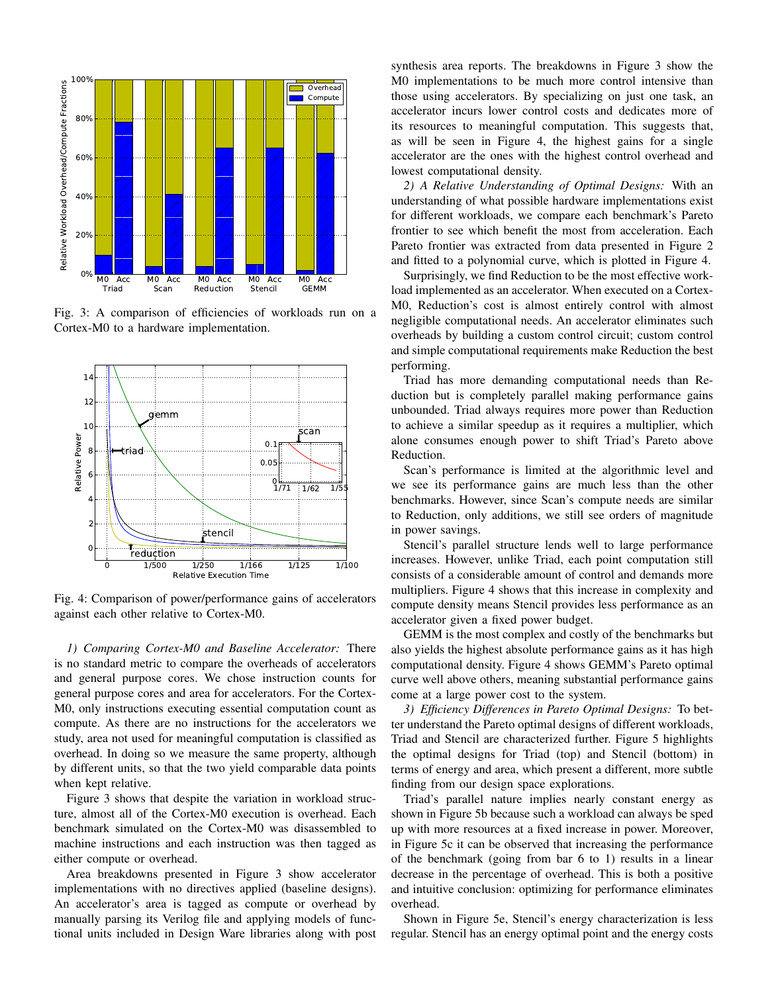

Fig. 3: A comparison of efficiencies of workloads run on a Cortex-M0 to a hardware implementation.



Fig. 4: Comparison of power/performance gains of accelerators against each other relative to Cortex-M0.

*1) Comparing Cortex-M0 and Baseline Accelerator:* There is no standard metric to compare the overheads of accelerators and general purpose cores. We chose instruction counts for general purpose cores and area for accelerators. For the Cortex-M0, only instructions executing essential computation count as compute. As there are no instructions for the accelerators we study, area not used for meaningful computation is classified as overhead. In doing so we measure the same property, although by different units, so that the two yield comparable data points when kept relative.

Figure 3 shows that despite the variation in workload structure, almost all of the Cortex-M0 execution is overhead. Each benchmark simulated on the Cortex-M0 was disassembled to machine instructions and each instruction was then tagged as either compute or overhead.

Area breakdowns presented in Figure 3 show accelerator implementations with no directives applied (baseline designs). An accelerator's area is tagged as compute or overhead by manually parsing its Verilog file and applying models of functional units included in Design Ware libraries along with post

synthesis area reports. The breakdowns in Figure 3 show the M0 implementations to be much more control intensive than those using accelerators. By specializing on just one task, an accelerator incurs lower control costs and dedicates more of its resources to meaningful computation. This suggests that, as will be seen in Figure 4, the highest gains for a single accelerator are the ones with the highest control overhead and lowest computational density.

*2) A Relative Understanding of Optimal Designs:* With an understanding of what possible hardware implementations exist for different workloads, we compare each benchmark's Pareto frontier to see which benefit the most from acceleration. Each Pareto frontier was extracted from data presented in Figure 2 and fitted to a polynomial curve, which is plotted in Figure 4.

Surprisingly, we find Reduction to be the most effective workload implemented as an accelerator. When executed on a Cortex-M0, Reduction's cost is almost entirely control with almost negligible computational needs. An accelerator eliminates such overheads by building a custom control circuit; custom control and simple computational requirements make Reduction the best performing.

Triad has more demanding computational needs than Reduction but is completely parallel making performance gains unbounded. Triad always requires more power than Reduction to achieve a similar speedup as it requires a multiplier, which alone consumes enough power to shift Triad's Pareto above Reduction.

Scan's performance is limited at the algorithmic level and we see its performance gains are much less than the other benchmarks. However, since Scan's compute needs are similar to Reduction, only additions, we still see orders of magnitude in power savings.

Stencil's parallel structure lends well to large performance increases. However, unlike Triad, each point computation still consists of a considerable amount of control and demands more multipliers. Figure 4 shows that this increase in complexity and compute density means Stencil provides less performance as an accelerator given a fixed power budget.

GEMM is the most complex and costly of the benchmarks but also yields the highest absolute performance gains as it has high computational density. Figure 4 shows GEMM's Pareto optimal curve well above others, meaning substantial performance gains come at a large power cost to the system.

*3) Efficiency Differences in Pareto Optimal Designs:* To better understand the Pareto optimal designs of different workloads, Triad and Stencil are characterized further. Figure 5 highlights the optimal designs for Triad (top) and Stencil (bottom) in terms of energy and area, which present a different, more subtle finding from our design space explorations.

Triad's parallel nature implies nearly constant energy as shown in Figure 5b because such a workload can always be sped up with more resources at a fixed increase in power. Moreover, in Figure 5c it can be observed that increasing the performance of the benchmark (going from bar 6 to 1) results in a linear decrease in the percentage of overhead. This is both a positive and intuitive conclusion: optimizing for performance eliminates overhead.

Shown in Figure 5e, Stencil's energy characterization is less regular. Stencil has an energy optimal point and the energy costs